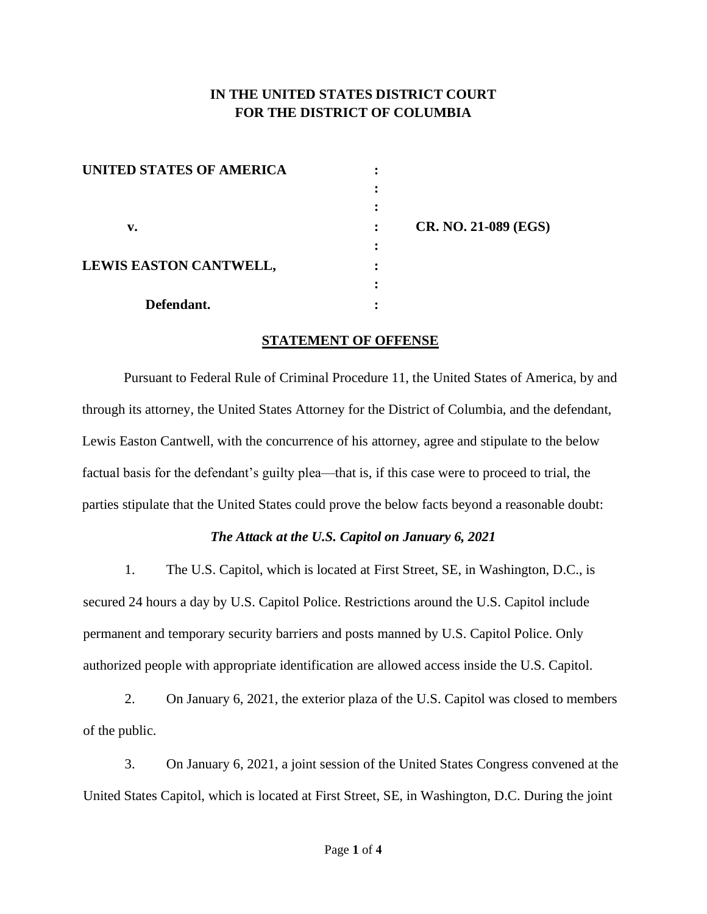# **IN THE UNITED STATES DISTRICT COURT FOR THE DISTRICT OF COLUMBIA**

| UNITED STATES OF AMERICA |                |                             |
|--------------------------|----------------|-----------------------------|
|                          |                |                             |
|                          |                |                             |
| v.                       | $\ddot{\cdot}$ | <b>CR. NO. 21-089 (EGS)</b> |
|                          |                |                             |
| LEWIS EASTON CANTWELL,   |                |                             |
|                          |                |                             |
| Defendant.               |                |                             |

#### **STATEMENT OF OFFENSE**

Pursuant to Federal Rule of Criminal Procedure 11, the United States of America, by and through its attorney, the United States Attorney for the District of Columbia, and the defendant, Lewis Easton Cantwell, with the concurrence of his attorney, agree and stipulate to the below factual basis for the defendant's guilty plea—that is, if this case were to proceed to trial, the parties stipulate that the United States could prove the below facts beyond a reasonable doubt:

### *The Attack at the U.S. Capitol on January 6, 2021*

1. The U.S. Capitol, which is located at First Street, SE, in Washington, D.C., is secured 24 hours a day by U.S. Capitol Police. Restrictions around the U.S. Capitol include permanent and temporary security barriers and posts manned by U.S. Capitol Police. Only authorized people with appropriate identification are allowed access inside the U.S. Capitol.

2. On January 6, 2021, the exterior plaza of the U.S. Capitol was closed to members of the public.

3. On January 6, 2021, a joint session of the United States Congress convened at the United States Capitol, which is located at First Street, SE, in Washington, D.C. During the joint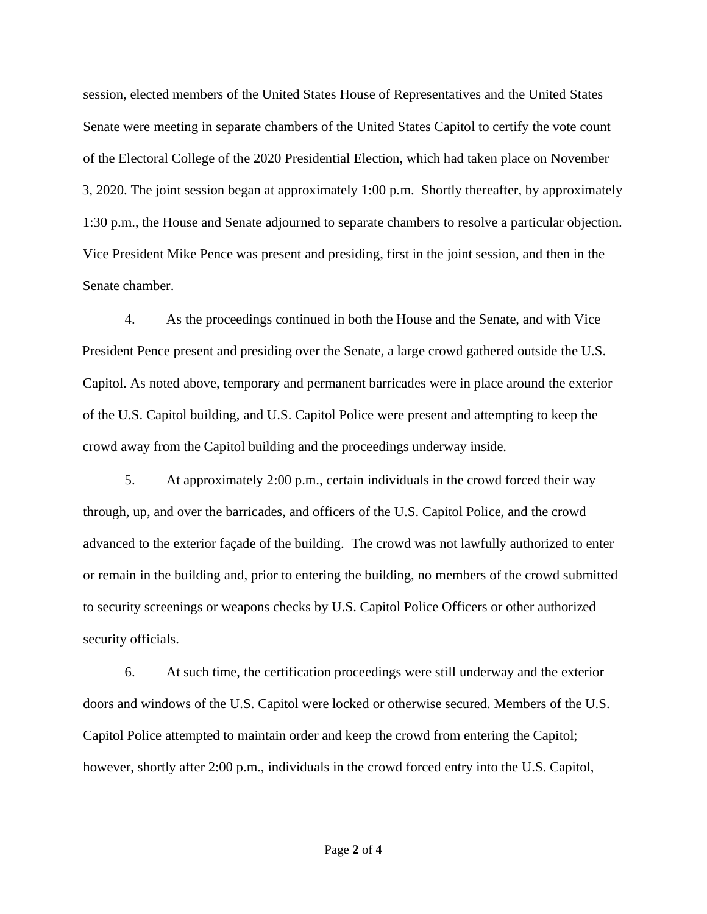session, elected members of the United States House of Representatives and the United States Senate were meeting in separate chambers of the United States Capitol to certify the vote count of the Electoral College of the 2020 Presidential Election, which had taken place on November 3, 2020. The joint session began at approximately 1:00 p.m. Shortly thereafter, by approximately 1:30 p.m., the House and Senate adjourned to separate chambers to resolve a particular objection. Vice President Mike Pence was present and presiding, first in the joint session, and then in the Senate chamber.

4. As the proceedings continued in both the House and the Senate, and with Vice President Pence present and presiding over the Senate, a large crowd gathered outside the U.S. Capitol. As noted above, temporary and permanent barricades were in place around the exterior of the U.S. Capitol building, and U.S. Capitol Police were present and attempting to keep the crowd away from the Capitol building and the proceedings underway inside.

5. At approximately 2:00 p.m., certain individuals in the crowd forced their way through, up, and over the barricades, and officers of the U.S. Capitol Police, and the crowd advanced to the exterior façade of the building. The crowd was not lawfully authorized to enter or remain in the building and, prior to entering the building, no members of the crowd submitted to security screenings or weapons checks by U.S. Capitol Police Officers or other authorized security officials.

6. At such time, the certification proceedings were still underway and the exterior doors and windows of the U.S. Capitol were locked or otherwise secured. Members of the U.S. Capitol Police attempted to maintain order and keep the crowd from entering the Capitol; however, shortly after 2:00 p.m., individuals in the crowd forced entry into the U.S. Capitol,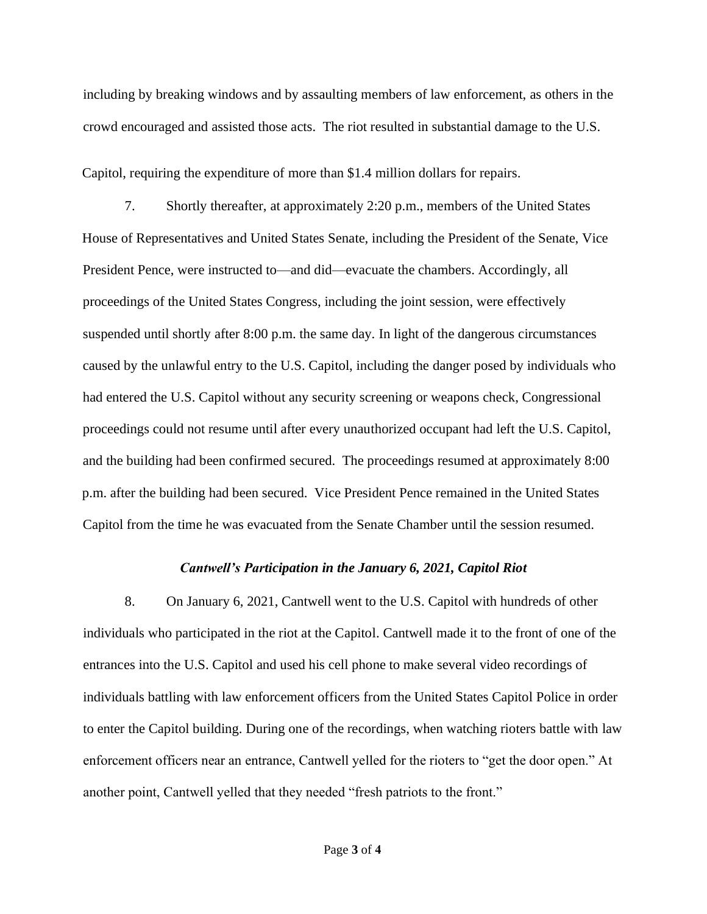including by breaking windows and by assaulting members of law enforcement, as others in the crowd encouraged and assisted those acts. The riot resulted in substantial damage to the U.S.

Capitol, requiring the expenditure of more than \$1.4 million dollars for repairs.

7. Shortly thereafter, at approximately 2:20 p.m., members of the United States House of Representatives and United States Senate, including the President of the Senate, Vice President Pence, were instructed to—and did—evacuate the chambers. Accordingly, all proceedings of the United States Congress, including the joint session, were effectively suspended until shortly after 8:00 p.m. the same day. In light of the dangerous circumstances caused by the unlawful entry to the U.S. Capitol, including the danger posed by individuals who had entered the U.S. Capitol without any security screening or weapons check, Congressional proceedings could not resume until after every unauthorized occupant had left the U.S. Capitol, and the building had been confirmed secured. The proceedings resumed at approximately 8:00 p.m. after the building had been secured. Vice President Pence remained in the United States Capitol from the time he was evacuated from the Senate Chamber until the session resumed.

#### *Cantwell's Participation in the January 6, 2021, Capitol Riot*

8. On January 6, 2021, Cantwell went to the U.S. Capitol with hundreds of other individuals who participated in the riot at the Capitol. Cantwell made it to the front of one of the entrances into the U.S. Capitol and used his cell phone to make several video recordings of individuals battling with law enforcement officers from the United States Capitol Police in order to enter the Capitol building. During one of the recordings, when watching rioters battle with law enforcement officers near an entrance, Cantwell yelled for the rioters to "get the door open." At another point, Cantwell yelled that they needed "fresh patriots to the front."